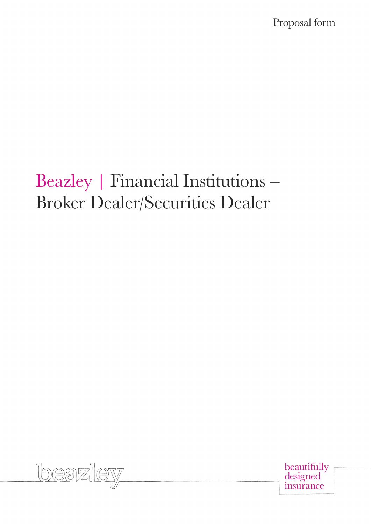Proposal form

# Beazley | Financial Institutions – Broker Dealer/Securities Dealer



beautifully<br>designed insurance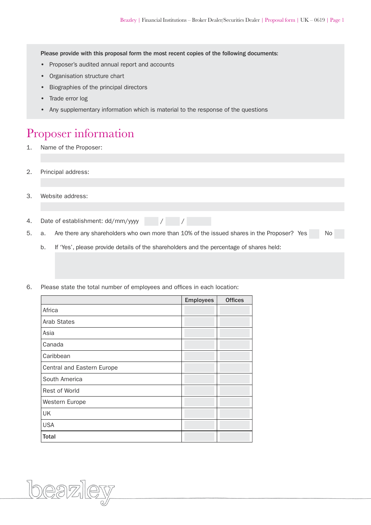Please provide with this proposal form the most recent copies of the following documents:

- Proposer's audited annual report and accounts
- Organisation structure chart
- Biographies of the principal directors
- Trade error log
- Any supplementary information which is material to the response of the questions

#### Proposer information

- 1. Name of the Proposer:
- 2. Principal address:
- 3. Website address:
- 4. Date of establishment: dd/mm/yyyy / / / /
- 5. a. Are there any shareholders who own more than 10% of the issued shares in the Proposer? Yes No
	- b. If 'Yes', please provide details of the shareholders and the percentage of shares held:
- 6. Please state the total number of employees and offices in each location:

|                            | <b>Employees</b> | <b>Offices</b> |
|----------------------------|------------------|----------------|
| Africa                     |                  |                |
| <b>Arab States</b>         |                  |                |
| Asia                       |                  |                |
| Canada                     |                  |                |
| Caribbean                  |                  |                |
| Central and Eastern Europe |                  |                |
| South America              |                  |                |
| Rest of World              |                  |                |
| Western Europe             |                  |                |
| UK                         |                  |                |
| <b>USA</b>                 |                  |                |
| <b>Total</b>               |                  |                |

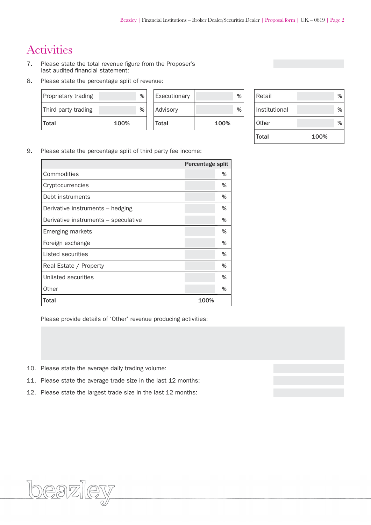# **Activities**

- 7. Please state the total revenue figure from the Proposer's last audited financial statement:
- 8. Please state the percentage split of revenue:

| Proprietary trading | %    | Executionary | %    | Retail        | % |
|---------------------|------|--------------|------|---------------|---|
| Third party trading | %    | Advisory     | %    | Institutional | % |
| <b>Total</b>        | 100% | Total        | 100% | Other         | % |

| Retail        | %    |
|---------------|------|
| Institutional | %    |
| Other         | %    |
| Total         | 100% |

9. Please state the percentage split of third party fee income:

|                                      | Percentage split |   |
|--------------------------------------|------------------|---|
| Commodities                          |                  | % |
| Cryptocurrencies                     |                  | % |
| Debt instruments                     |                  | % |
| Derivative instruments – hedging     |                  | % |
| Derivative instruments – speculative |                  | % |
| <b>Emerging markets</b>              |                  | % |
| Foreign exchange                     |                  | % |
| Listed securities                    |                  | % |
| Real Estate / Property               |                  | % |
| Unlisted securities                  |                  | % |
| Other                                |                  | % |
| Total                                | 100%             |   |

Please provide details of 'Other' revenue producing activities:

- 10. Please state the average daily trading volume:
- 11. Please state the average trade size in the last 12 months:
- 12. Please state the largest trade size in the last 12 months:

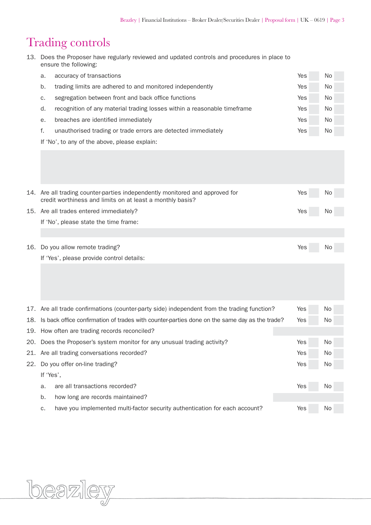# Trading controls

| 13. Does the Proposer have regularly reviewed and updated controls and procedures in place to |
|-----------------------------------------------------------------------------------------------|
| ensure the following:                                                                         |

| а. | accuracy of transactions                                                 | Yes | No. |  |
|----|--------------------------------------------------------------------------|-----|-----|--|
| b. | trading limits are adhered to and monitored independently                | Yes | No. |  |
| C. | segregation between front and back office functions                      | Yes | No. |  |
| d. | recognition of any material trading losses within a reasonable timeframe | Yes | No. |  |
| е. | breaches are identified immediately                                      | Yes | No. |  |
|    | unauthorised trading or trade errors are detected immediately            | Yes | No. |  |
|    |                                                                          |     |     |  |

If 'No', to any of the above, please explain:

| 14. Are all trading counter-parties independently monitored and approved for | Yes | No  |
|------------------------------------------------------------------------------|-----|-----|
| credit worthiness and limits on at least a monthly basis?                    |     |     |
| 15. Are all trades entered immediately?                                      | Yes | No. |
| If 'No', please state the time frame:                                        |     |     |

| 16. Do you allow remote trading?          | Yes i | No |
|-------------------------------------------|-------|----|
| If 'Yes', please provide control details: |       |    |

|     |                                                                                                   | 17. Are all trade confirmations (counter-party side) independent from the trading function? | Yes        | No.       |
|-----|---------------------------------------------------------------------------------------------------|---------------------------------------------------------------------------------------------|------------|-----------|
|     | 18. Is back office confirmation of trades with counter-parties done on the same day as the trade? | Yes                                                                                         | No.        |           |
|     | 19. How often are trading records reconciled?                                                     |                                                                                             |            |           |
|     | 20. Does the Proposer's system monitor for any unusual trading activity?                          | Yes                                                                                         | No.        |           |
|     | 21. Are all trading conversations recorded?                                                       | Yes                                                                                         | <b>No</b>  |           |
| 22. | Do you offer on-line trading?                                                                     | Yes                                                                                         | <b>No</b>  |           |
|     | If 'Yes',                                                                                         |                                                                                             |            |           |
|     | a.                                                                                                | are all transactions recorded?                                                              | <b>Yes</b> | No.       |
|     | b.                                                                                                | how long are records maintained?                                                            |            |           |
|     | c.                                                                                                | have you implemented multi-factor security authentication for each account?                 | Yes        | <b>No</b> |

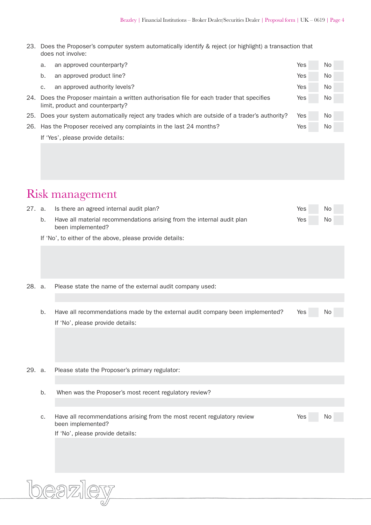23. Does the Proposer's computer system automatically identify & reject (or highlight) a transaction that does not involve:

| a. | an approved counterparty?                                                                                                      | Yes | No. |  |  |
|----|--------------------------------------------------------------------------------------------------------------------------------|-----|-----|--|--|
| b. | an approved product line?                                                                                                      | Yes | No. |  |  |
| C. | an approved authority levels?                                                                                                  | Yes | No. |  |  |
|    | 24. Does the Proposer maintain a written authorisation file for each trader that specifies<br>limit, product and counterparty? |     |     |  |  |
|    | 25. Does your system automatically reject any trades which are outside of a trader's authority?                                | Yes | No. |  |  |
|    | 26. Has the Proposer received any complaints in the last 24 months?                                                            | Yes | No. |  |  |
|    | If 'Yes', please provide details:                                                                                              |     |     |  |  |
|    |                                                                                                                                |     |     |  |  |

## Risk management

|  | 27. a. Is there an agreed internal audit plan?                         | Yes | No        |
|--|------------------------------------------------------------------------|-----|-----------|
|  | Have all material recommendations arising from the internal audit plan | Yes | <b>No</b> |
|  | been implemented?                                                      |     |           |

If 'No', to either of the above, please provide details:

| 28. a. |  |  |  |  |  |  |  |  | Please state the name of the external audit company used: |  |
|--------|--|--|--|--|--|--|--|--|-----------------------------------------------------------|--|
|--------|--|--|--|--|--|--|--|--|-----------------------------------------------------------|--|

|  | Have all recommendations made by the external audit company been implemented? | Yes | No. |  |
|--|-------------------------------------------------------------------------------|-----|-----|--|
|  | If 'No', please provide details:                                              |     |     |  |

- 29. a. Please state the Proposer's primary regulator:
	- b. When was the Proposer's most recent regulatory review?
	- c. Have all recommendations arising from the most recent regulatory review Yes Yes No been implemented? If 'No', please provide details:

<u>DEAZ</u>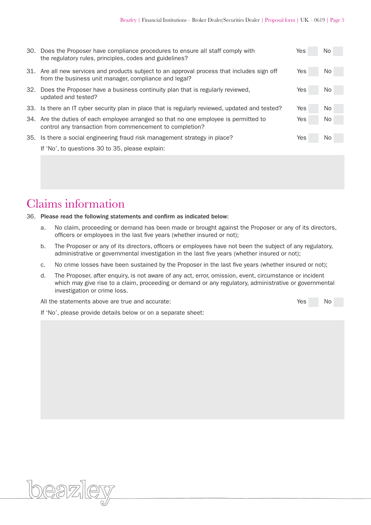| 30. Does the Proposer have compliance procedures to ensure all staff comply with<br>the regulatory rules, principles, codes and guidelines?          | Yes | No. |
|------------------------------------------------------------------------------------------------------------------------------------------------------|-----|-----|
| 31. Are all new services and products subject to an approval process that includes sign off<br>from the business unit manager, compliance and legal? | Yes | No. |
| 32. Does the Proposer have a business continuity plan that is regularly reviewed,<br>updated and tested?                                             | Yes | No. |
| 33. Is there an IT cyber security plan in place that is regularly reviewed, updated and tested?                                                      | Yes | No. |
| 34. Are the duties of each employee arranged so that no one employee is permitted to<br>control any transaction from commencement to completion?     | Yes | No. |
| 35. Is there a social engineering fraud risk management strategy in place?                                                                           | Yes | No. |
| If 'No', to questions 30 to 35, please explain:                                                                                                      |     |     |
|                                                                                                                                                      |     |     |

### Claims information

#### 36. Please read the following statements and confirm as indicated below:

- a. No claim, proceeding or demand has been made or brought against the Proposer or any of its directors, officers or employees in the last five years (whether insured or not);
- b. The Proposer or any of its directors, officers or employees have not been the subject of any regulatory, administrative or governmental investigation in the last five years (whether insured or not);
- c. No crime losses have been sustained by the Proposer in the last five years (whether insured or not);
- d. The Proposer, after enquiry, is not aware of any act, error, omission, event, circumstance or incident which may give rise to a claim, proceeding or demand or any regulatory, administrative or governmental investigation or crime loss.

All the statements above are true and accurate: The No of No of No of No of No of No of No of No of No of No of No of No of No of No of No of No of No of No of No of No of No of No of No of No of No of No of No of No of No

If 'No', please provide details below or on a separate sheet: